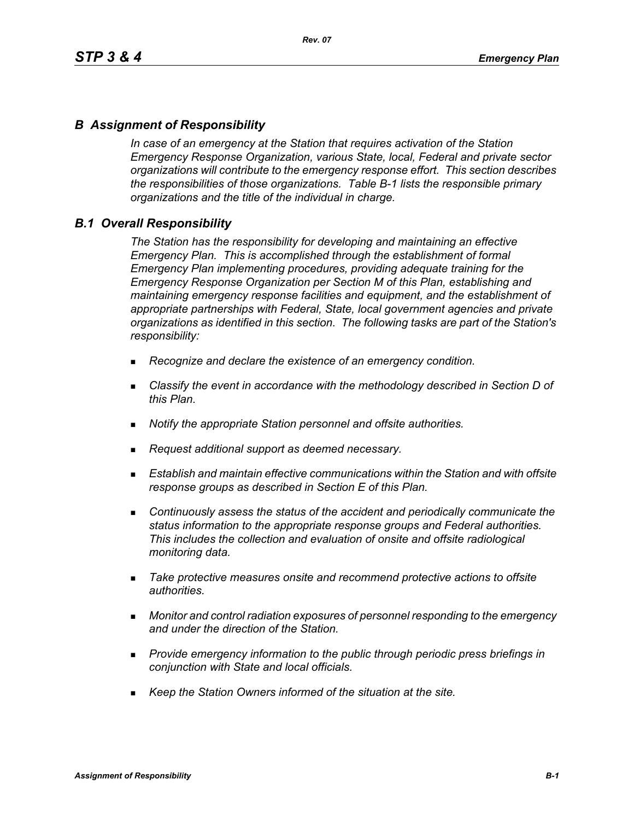### *B Assignment of Responsibility*

*In case of an emergency at the Station that requires activation of the Station Emergency Response Organization, various State, local, Federal and private sector organizations will contribute to the emergency response effort. This section describes the responsibilities of those organizations. Table B-1 lists the responsible primary organizations and the title of the individual in charge.*

### *B.1 Overall Responsibility*

*The Station has the responsibility for developing and maintaining an effective Emergency Plan. This is accomplished through the establishment of formal Emergency Plan implementing procedures, providing adequate training for the Emergency Response Organization per Section M of this Plan, establishing and maintaining emergency response facilities and equipment, and the establishment of appropriate partnerships with Federal, State, local government agencies and private organizations as identified in this section. The following tasks are part of the Station's responsibility:*

- *Recognize and declare the existence of an emergency condition.*
- *Classify the event in accordance with the methodology described in Section D of this Plan.*
- *Notify the appropriate Station personnel and offsite authorities.*
- *Request additional support as deemed necessary.*
- **Establish and maintain effective communications within the Station and with offsite** *response groups as described in Section E of this Plan.*
- *Continuously assess the status of the accident and periodically communicate the status information to the appropriate response groups and Federal authorities. This includes the collection and evaluation of onsite and offsite radiological monitoring data.*
- *Take protective measures onsite and recommend protective actions to offsite authorities.*
- *Monitor and control radiation exposures of personnel responding to the emergency and under the direction of the Station.*
- *Provide emergency information to the public through periodic press briefings in conjunction with State and local officials.*
- *Keep the Station Owners informed of the situation at the site.*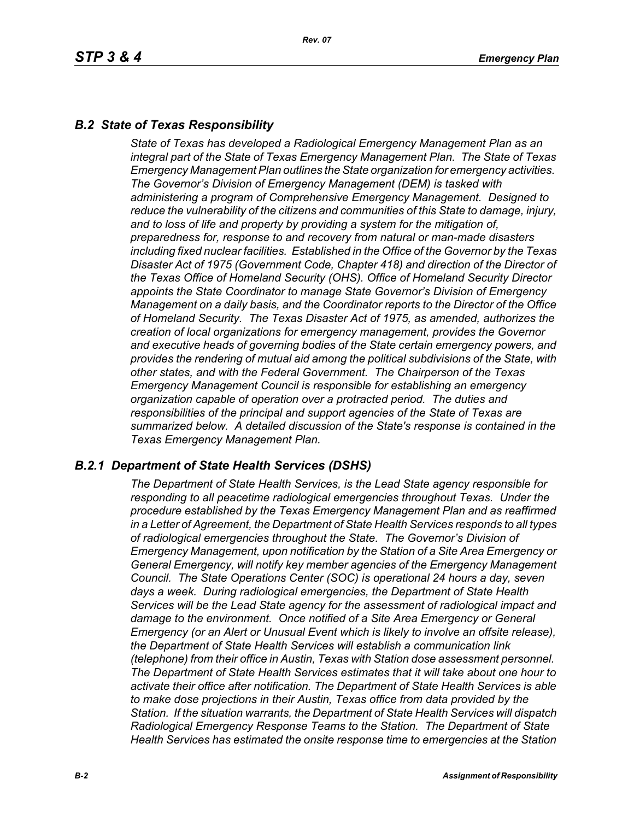# *B.2 State of Texas Responsibility*

*State of Texas has developed a Radiological Emergency Management Plan as an integral part of the State of Texas Emergency Management Plan. The State of Texas Emergency Management Plan outlines the State organization for emergency activities. The Governor's Division of Emergency Management (DEM) is tasked with administering a program of Comprehensive Emergency Management. Designed to reduce the vulnerability of the citizens and communities of this State to damage, injury, and to loss of life and property by providing a system for the mitigation of, preparedness for, response to and recovery from natural or man-made disasters including fixed nuclear facilities. Established in the Office of the Governor by the Texas Disaster Act of 1975 (Government Code, Chapter 418) and direction of the Director of the Texas Office of Homeland Security (OHS). Office of Homeland Security Director appoints the State Coordinator to manage State Governor's Division of Emergency Management on a daily basis, and the Coordinator reports to the Director of the Office of Homeland Security. The Texas Disaster Act of 1975, as amended, authorizes the creation of local organizations for emergency management, provides the Governor and executive heads of governing bodies of the State certain emergency powers, and provides the rendering of mutual aid among the political subdivisions of the State, with other states, and with the Federal Government. The Chairperson of the Texas Emergency Management Council is responsible for establishing an emergency organization capable of operation over a protracted period. The duties and responsibilities of the principal and support agencies of the State of Texas are summarized below. A detailed discussion of the State's response is contained in the Texas Emergency Management Plan.*

### *B.2.1 Department of State Health Services (DSHS)*

*The Department of State Health Services, is the Lead State agency responsible for responding to all peacetime radiological emergencies throughout Texas. Under the procedure established by the Texas Emergency Management Plan and as reaffirmed in a Letter of Agreement, the Department of State Health Services responds to all types of radiological emergencies throughout the State. The Governor's Division of Emergency Management, upon notification by the Station of a Site Area Emergency or General Emergency, will notify key member agencies of the Emergency Management Council. The State Operations Center (SOC) is operational 24 hours a day, seven days a week. During radiological emergencies, the Department of State Health Services will be the Lead State agency for the assessment of radiological impact and damage to the environment. Once notified of a Site Area Emergency or General Emergency (or an Alert or Unusual Event which is likely to involve an offsite release), the Department of State Health Services will establish a communication link (telephone) from their office in Austin, Texas with Station dose assessment personnel. The Department of State Health Services estimates that it will take about one hour to activate their office after notification. The Department of State Health Services is able to make dose projections in their Austin, Texas office from data provided by the Station. If the situation warrants, the Department of State Health Services will dispatch Radiological Emergency Response Teams to the Station. The Department of State Health Services has estimated the onsite response time to emergencies at the Station*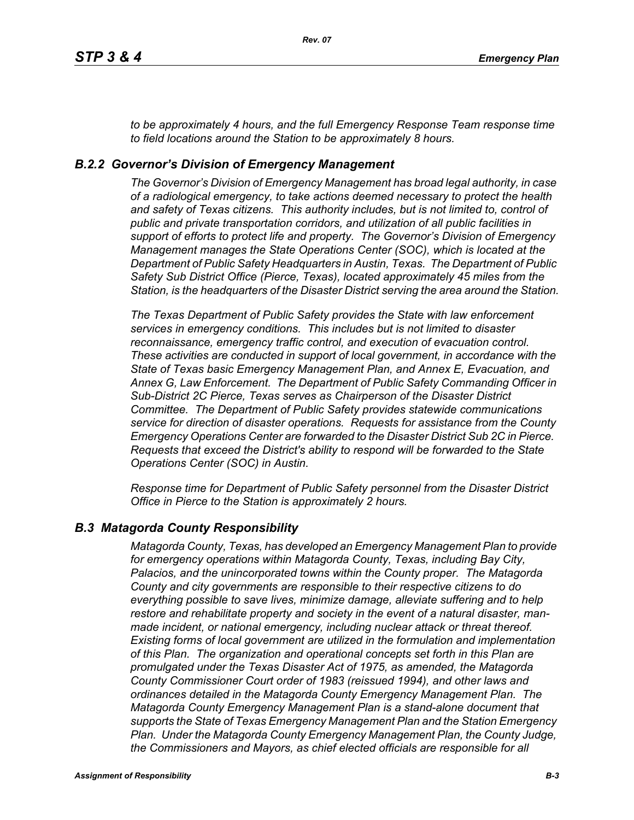*to be approximately 4 hours, and the full Emergency Response Team response time to field locations around the Station to be approximately 8 hours.*

### *B.2.2 Governor's Division of Emergency Management*

*The Governor's Division of Emergency Management has broad legal authority, in case of a radiological emergency, to take actions deemed necessary to protect the health and safety of Texas citizens. This authority includes, but is not limited to, control of public and private transportation corridors, and utilization of all public facilities in support of efforts to protect life and property. The Governor's Division of Emergency Management manages the State Operations Center (SOC), which is located at the Department of Public Safety Headquarters in Austin, Texas. The Department of Public Safety Sub District Office (Pierce, Texas), located approximately 45 miles from the Station, is the headquarters of the Disaster District serving the area around the Station.*

*The Texas Department of Public Safety provides the State with law enforcement services in emergency conditions. This includes but is not limited to disaster reconnaissance, emergency traffic control, and execution of evacuation control. These activities are conducted in support of local government, in accordance with the State of Texas basic Emergency Management Plan, and Annex E, Evacuation, and Annex G, Law Enforcement. The Department of Public Safety Commanding Officer in Sub-District 2C Pierce, Texas serves as Chairperson of the Disaster District Committee. The Department of Public Safety provides statewide communications service for direction of disaster operations. Requests for assistance from the County Emergency Operations Center are forwarded to the Disaster District Sub 2C in Pierce. Requests that exceed the District's ability to respond will be forwarded to the State Operations Center (SOC) in Austin.* 

*Response time for Department of Public Safety personnel from the Disaster District Office in Pierce to the Station is approximately 2 hours.*

### *B.3 Matagorda County Responsibility*

*Matagorda County, Texas, has developed an Emergency Management Plan to provide for emergency operations within Matagorda County, Texas, including Bay City, Palacios, and the unincorporated towns within the County proper. The Matagorda County and city governments are responsible to their respective citizens to do everything possible to save lives, minimize damage, alleviate suffering and to help restore and rehabilitate property and society in the event of a natural disaster, manmade incident, or national emergency, including nuclear attack or threat thereof. Existing forms of local government are utilized in the formulation and implementation of this Plan. The organization and operational concepts set forth in this Plan are promulgated under the Texas Disaster Act of 1975, as amended, the Matagorda County Commissioner Court order of 1983 (reissued 1994), and other laws and ordinances detailed in the Matagorda County Emergency Management Plan. The Matagorda County Emergency Management Plan is a stand-alone document that supports the State of Texas Emergency Management Plan and the Station Emergency Plan. Under the Matagorda County Emergency Management Plan, the County Judge, the Commissioners and Mayors, as chief elected officials are responsible for all*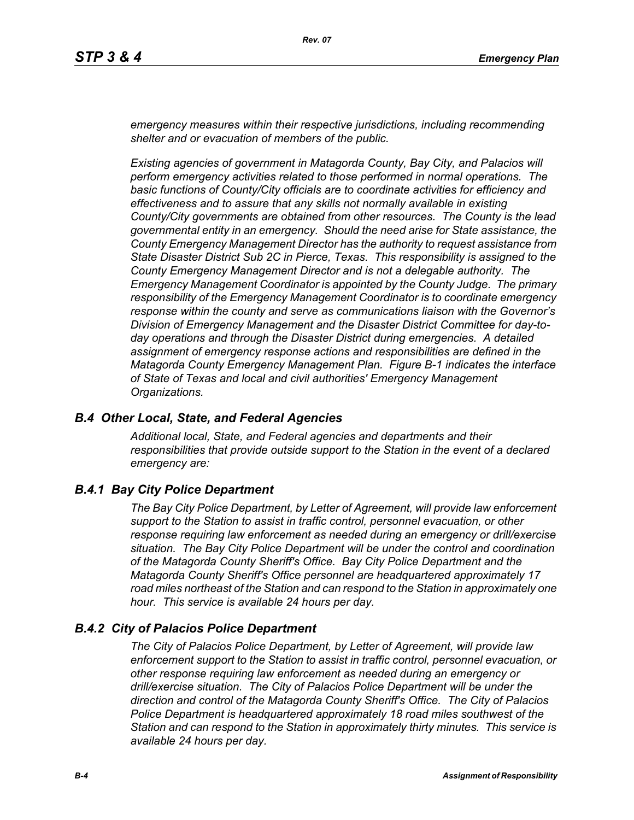*emergency measures within their respective jurisdictions, including recommending shelter and or evacuation of members of the public.* 

*Existing agencies of government in Matagorda County, Bay City, and Palacios will perform emergency activities related to those performed in normal operations. The basic functions of County/City officials are to coordinate activities for efficiency and effectiveness and to assure that any skills not normally available in existing County/City governments are obtained from other resources. The County is the lead governmental entity in an emergency. Should the need arise for State assistance, the County Emergency Management Director has the authority to request assistance from State Disaster District Sub 2C in Pierce, Texas. This responsibility is assigned to the County Emergency Management Director and is not a delegable authority. The Emergency Management Coordinator is appointed by the County Judge. The primary responsibility of the Emergency Management Coordinator is to coordinate emergency response within the county and serve as communications liaison with the Governor's Division of Emergency Management and the Disaster District Committee for day-today operations and through the Disaster District during emergencies. A detailed assignment of emergency response actions and responsibilities are defined in the Matagorda County Emergency Management Plan. Figure B-1 indicates the interface of State of Texas and local and civil authorities' Emergency Management Organizations.*

### *B.4 Other Local, State, and Federal Agencies*

*Additional local, State, and Federal agencies and departments and their responsibilities that provide outside support to the Station in the event of a declared emergency are:*

### *B.4.1 Bay City Police Department*

*The Bay City Police Department, by Letter of Agreement, will provide law enforcement support to the Station to assist in traffic control, personnel evacuation, or other response requiring law enforcement as needed during an emergency or drill/exercise situation. The Bay City Police Department will be under the control and coordination of the Matagorda County Sheriff's Office. Bay City Police Department and the Matagorda County Sheriff's Office personnel are headquartered approximately 17 road miles northeast of the Station and can respond to the Station in approximately one hour. This service is available 24 hours per day.*

### *B.4.2 City of Palacios Police Department*

*The City of Palacios Police Department, by Letter of Agreement, will provide law enforcement support to the Station to assist in traffic control, personnel evacuation, or other response requiring law enforcement as needed during an emergency or drill/exercise situation. The City of Palacios Police Department will be under the direction and control of the Matagorda County Sheriff's Office. The City of Palacios Police Department is headquartered approximately 18 road miles southwest of the Station and can respond to the Station in approximately thirty minutes. This service is available 24 hours per day.*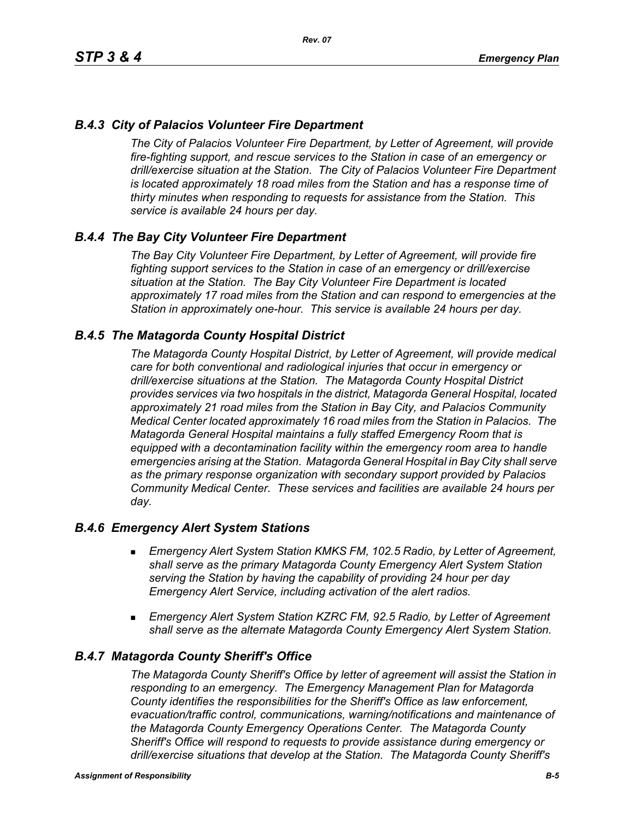# *B.4.3 City of Palacios Volunteer Fire Department*

*The City of Palacios Volunteer Fire Department, by Letter of Agreement, will provide fire-fighting support, and rescue services to the Station in case of an emergency or drill/exercise situation at the Station. The City of Palacios Volunteer Fire Department is located approximately 18 road miles from the Station and has a response time of thirty minutes when responding to requests for assistance from the Station. This service is available 24 hours per day.*

### *B.4.4 The Bay City Volunteer Fire Department*

*The Bay City Volunteer Fire Department, by Letter of Agreement, will provide fire fighting support services to the Station in case of an emergency or drill/exercise situation at the Station. The Bay City Volunteer Fire Department is located approximately 17 road miles from the Station and can respond to emergencies at the Station in approximately one-hour. This service is available 24 hours per day.*

### *B.4.5 The Matagorda County Hospital District*

*The Matagorda County Hospital District, by Letter of Agreement, will provide medical care for both conventional and radiological injuries that occur in emergency or drill/exercise situations at the Station. The Matagorda County Hospital District provides services via two hospitals in the district, Matagorda General Hospital, located approximately 21 road miles from the Station in Bay City, and Palacios Community Medical Center located approximately 16 road miles from the Station in Palacios. The Matagorda General Hospital maintains a fully staffed Emergency Room that is equipped with a decontamination facility within the emergency room area to handle emergencies arising at the Station. Matagorda General Hospital in Bay City shall serve as the primary response organization with secondary support provided by Palacios Community Medical Center. These services and facilities are available 24 hours per day.*

### *B.4.6 Emergency Alert System Stations*

- *Emergency Alert System Station KMKS FM, 102.5 Radio, by Letter of Agreement, shall serve as the primary Matagorda County Emergency Alert System Station serving the Station by having the capability of providing 24 hour per day Emergency Alert Service, including activation of the alert radios.*
- *Emergency Alert System Station KZRC FM, 92.5 Radio, by Letter of Agreement shall serve as the alternate Matagorda County Emergency Alert System Station.*

### *B.4.7 Matagorda County Sheriff's Office*

*The Matagorda County Sheriff's Office by letter of agreement will assist the Station in responding to an emergency. The Emergency Management Plan for Matagorda County identifies the responsibilities for the Sheriff's Office as law enforcement, evacuation/traffic control, communications, warning/notifications and maintenance of the Matagorda County Emergency Operations Center. The Matagorda County Sheriff's Office will respond to requests to provide assistance during emergency or drill/exercise situations that develop at the Station. The Matagorda County Sheriff's*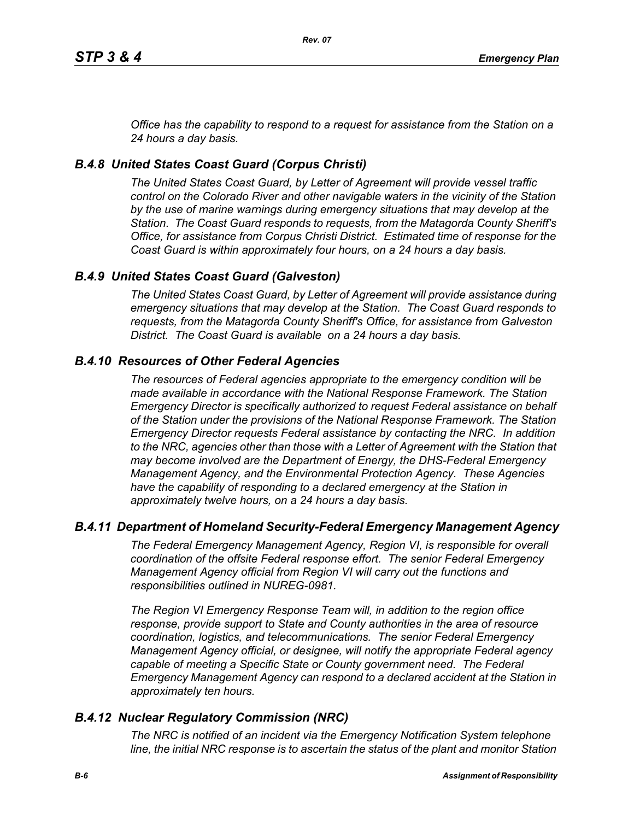*Office has the capability to respond to a request for assistance from the Station on a 24 hours a day basis.*

# *B.4.8 United States Coast Guard (Corpus Christi)*

*The United States Coast Guard, by Letter of Agreement will provide vessel traffic control on the Colorado River and other navigable waters in the vicinity of the Station by the use of marine warnings during emergency situations that may develop at the Station. The Coast Guard responds to requests, from the Matagorda County Sheriff's Office, for assistance from Corpus Christi District. Estimated time of response for the Coast Guard is within approximately four hours, on a 24 hours a day basis.*

# *B.4.9 United States Coast Guard (Galveston)*

*The United States Coast Guard, by Letter of Agreement will provide assistance during emergency situations that may develop at the Station. The Coast Guard responds to requests, from the Matagorda County Sheriff's Office, for assistance from Galveston District. The Coast Guard is available on a 24 hours a day basis.*

# *B.4.10 Resources of Other Federal Agencies*

*The resources of Federal agencies appropriate to the emergency condition will be made available in accordance with the National Response Framework. The Station Emergency Director is specifically authorized to request Federal assistance on behalf of the Station under the provisions of the National Response Framework. The Station Emergency Director requests Federal assistance by contacting the NRC. In addition*  to the NRC, agencies other than those with a Letter of Agreement with the Station that *may become involved are the Department of Energy, the DHS-Federal Emergency Management Agency, and the Environmental Protection Agency. These Agencies*  have the capability of responding to a declared emergency at the Station in *approximately twelve hours, on a 24 hours a day basis.*

### *B.4.11 Department of Homeland Security-Federal Emergency Management Agency*

*The Federal Emergency Management Agency, Region VI, is responsible for overall coordination of the offsite Federal response effort. The senior Federal Emergency Management Agency official from Region VI will carry out the functions and responsibilities outlined in NUREG-0981.*

*The Region VI Emergency Response Team will, in addition to the region office response, provide support to State and County authorities in the area of resource coordination, logistics, and telecommunications. The senior Federal Emergency Management Agency official, or designee, will notify the appropriate Federal agency*  capable of meeting a Specific State or County government need. The Federal *Emergency Management Agency can respond to a declared accident at the Station in approximately ten hours.*

### *B.4.12 Nuclear Regulatory Commission (NRC)*

*The NRC is notified of an incident via the Emergency Notification System telephone line, the initial NRC response is to ascertain the status of the plant and monitor Station*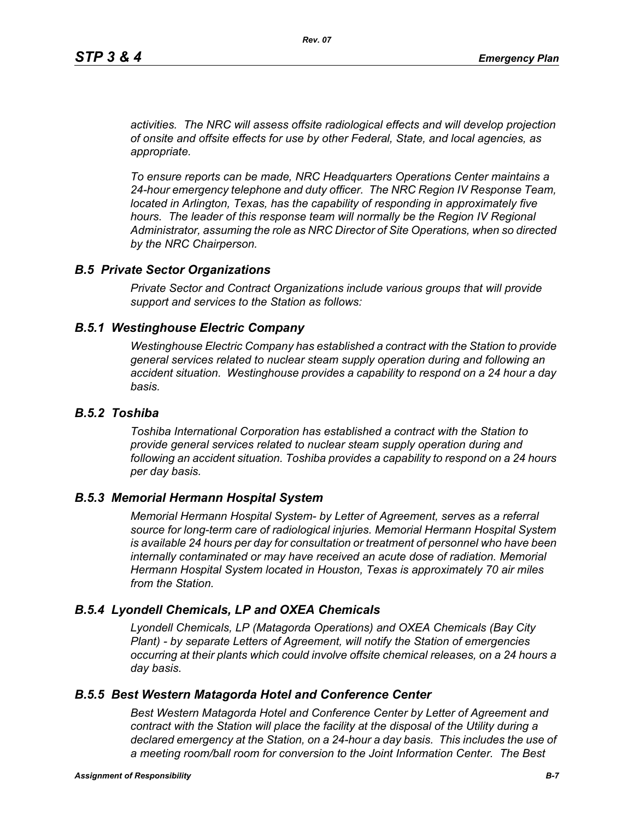*activities. The NRC will assess offsite radiological effects and will develop projection of onsite and offsite effects for use by other Federal, State, and local agencies, as appropriate.*

*To ensure reports can be made, NRC Headquarters Operations Center maintains a 24-hour emergency telephone and duty officer. The NRC Region IV Response Team, located in Arlington, Texas, has the capability of responding in approximately five* hours. The leader of this response team will normally be the Region IV Regional *Administrator, assuming the role as NRC Director of Site Operations, when so directed by the NRC Chairperson.*

#### *B.5 Private Sector Organizations*

*Private Sector and Contract Organizations include various groups that will provide support and services to the Station as follows:*

#### *B.5.1 Westinghouse Electric Company*

*Westinghouse Electric Company has established a contract with the Station to provide general services related to nuclear steam supply operation during and following an accident situation. Westinghouse provides a capability to respond on a 24 hour a day basis.* 

#### *B.5.2 Toshiba*

*Toshiba International Corporation has established a contract with the Station to provide general services related to nuclear steam supply operation during and following an accident situation. Toshiba provides a capability to respond on a 24 hours per day basis.*

#### *B.5.3 Memorial Hermann Hospital System*

*Memorial Hermann Hospital System- by Letter of Agreement, serves as a referral source for long-term care of radiological injuries. Memorial Hermann Hospital System is available 24 hours per day for consultation or treatment of personnel who have been*  internally contaminated or may have received an acute dose of radiation. Memorial *Hermann Hospital System located in Houston, Texas is approximately 70 air miles from the Station.*

### *B.5.4 Lyondell Chemicals, LP and OXEA Chemicals*

*Lyondell Chemicals, LP (Matagorda Operations) and OXEA Chemicals (Bay City Plant) - by separate Letters of Agreement, will notify the Station of emergencies occurring at their plants which could involve offsite chemical releases, on a 24 hours a day basis.*

### *B.5.5 Best Western Matagorda Hotel and Conference Center*

*Best Western Matagorda Hotel and Conference Center by Letter of Agreement and contract with the Station will place the facility at the disposal of the Utility during a declared emergency at the Station, on a 24-hour a day basis. This includes the use of a meeting room/ball room for conversion to the Joint Information Center. The Best*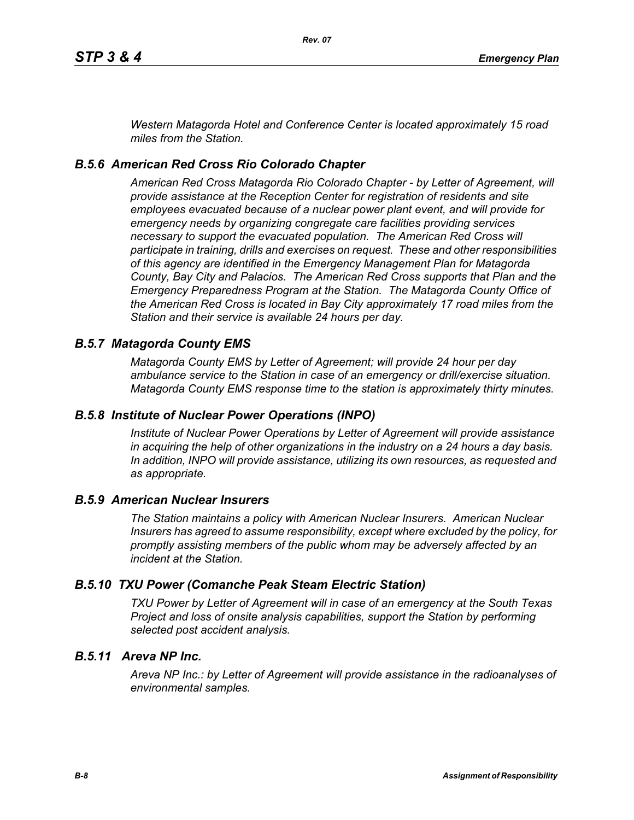*Western Matagorda Hotel and Conference Center is located approximately 15 road miles from the Station.*

# *B.5.6 American Red Cross Rio Colorado Chapter*

*American Red Cross Matagorda Rio Colorado Chapter - by Letter of Agreement, will provide assistance at the Reception Center for registration of residents and site employees evacuated because of a nuclear power plant event, and will provide for emergency needs by organizing congregate care facilities providing services necessary to support the evacuated population. The American Red Cross will participate in training, drills and exercises on request. These and other responsibilities of this agency are identified in the Emergency Management Plan for Matagorda County, Bay City and Palacios. The American Red Cross supports that Plan and the Emergency Preparedness Program at the Station. The Matagorda County Office of the American Red Cross is located in Bay City approximately 17 road miles from the Station and their service is available 24 hours per day.*

### *B.5.7 Matagorda County EMS*

*Matagorda County EMS by Letter of Agreement; will provide 24 hour per day ambulance service to the Station in case of an emergency or drill/exercise situation. Matagorda County EMS response time to the station is approximately thirty minutes.*

### *B.5.8 Institute of Nuclear Power Operations (INPO)*

*Institute of Nuclear Power Operations by Letter of Agreement will provide assistance in acquiring the help of other organizations in the industry on a 24 hours a day basis. In addition, INPO will provide assistance, utilizing its own resources, as requested and as appropriate.*

### *B.5.9 American Nuclear Insurers*

*The Station maintains a policy with American Nuclear Insurers. American Nuclear Insurers has agreed to assume responsibility, except where excluded by the policy, for promptly assisting members of the public whom may be adversely affected by an incident at the Station.*

### *B.5.10 TXU Power (Comanche Peak Steam Electric Station)*

*TXU Power by Letter of Agreement will in case of an emergency at the South Texas Project and loss of onsite analysis capabilities, support the Station by performing selected post accident analysis.*

# *B.5.11 Areva NP Inc.*

*Areva NP Inc.: by Letter of Agreement will provide assistance in the radioanalyses of environmental samples.*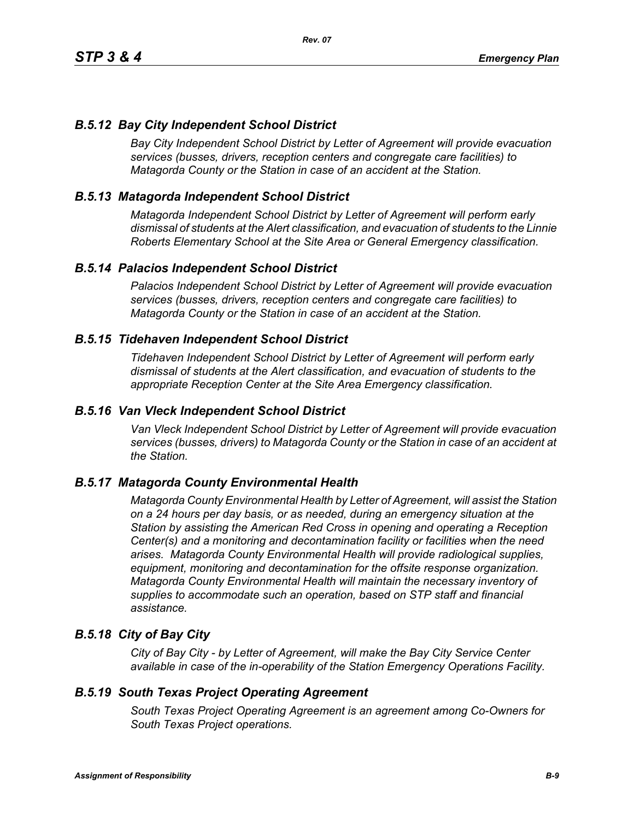### *B.5.12 Bay City Independent School District*

*Bay City Independent School District by Letter of Agreement will provide evacuation services (busses, drivers, reception centers and congregate care facilities) to Matagorda County or the Station in case of an accident at the Station.*

### *B.5.13 Matagorda Independent School District*

*Matagorda Independent School District by Letter of Agreement will perform early dismissal of students at the Alert classification, and evacuation of students to the Linnie Roberts Elementary School at the Site Area or General Emergency classification.*

### *B.5.14 Palacios Independent School District*

*Palacios Independent School District by Letter of Agreement will provide evacuation services (busses, drivers, reception centers and congregate care facilities) to Matagorda County or the Station in case of an accident at the Station.*

#### *B.5.15 Tidehaven Independent School District*

*Tidehaven Independent School District by Letter of Agreement will perform early dismissal of students at the Alert classification, and evacuation of students to the appropriate Reception Center at the Site Area Emergency classification.*

#### *B.5.16 Van Vleck Independent School District*

*Van Vleck Independent School District by Letter of Agreement will provide evacuation services (busses, drivers) to Matagorda County or the Station in case of an accident at the Station.*

### *B.5.17 Matagorda County Environmental Health*

*Matagorda County Environmental Health by Letter of Agreement, will assist the Station on a 24 hours per day basis, or as needed, during an emergency situation at the Station by assisting the American Red Cross in opening and operating a Reception Center(s) and a monitoring and decontamination facility or facilities when the need arises. Matagorda County Environmental Health will provide radiological supplies, equipment, monitoring and decontamination for the offsite response organization. Matagorda County Environmental Health will maintain the necessary inventory of supplies to accommodate such an operation, based on STP staff and financial assistance.*

### *B.5.18 City of Bay City*

*City of Bay City - by Letter of Agreement, will make the Bay City Service Center available in case of the in-operability of the Station Emergency Operations Facility.*

#### *B.5.19 South Texas Project Operating Agreement*

*South Texas Project Operating Agreement is an agreement among Co-Owners for South Texas Project operations.*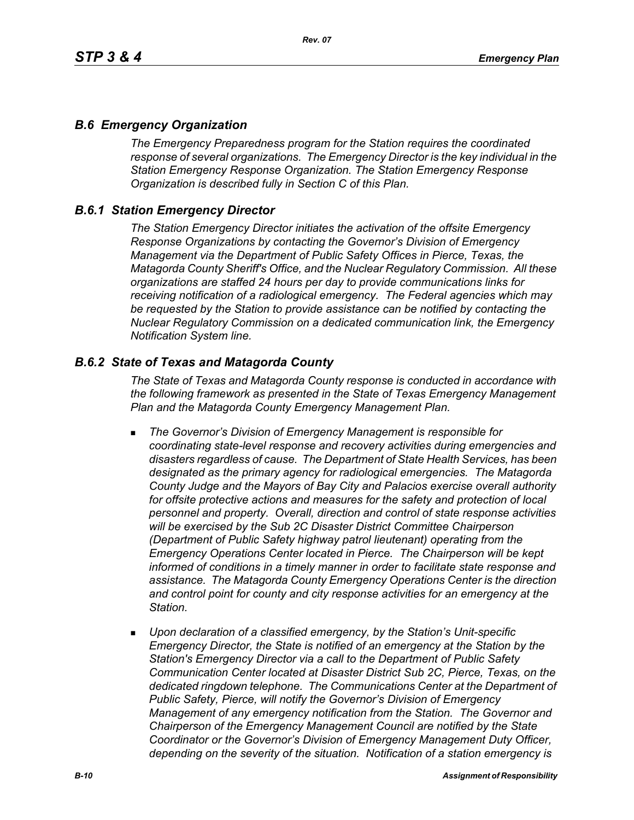### *B.6 Emergency Organization*

*The Emergency Preparedness program for the Station requires the coordinated response of several organizations. The Emergency Director is the key individual in the Station Emergency Response Organization. The Station Emergency Response Organization is described fully in Section C of this Plan.*

### *B.6.1 Station Emergency Director*

*The Station Emergency Director initiates the activation of the offsite Emergency Response Organizations by contacting the Governor's Division of Emergency Management via the Department of Public Safety Offices in Pierce, Texas, the Matagorda County Sheriff's Office, and the Nuclear Regulatory Commission. All these organizations are staffed 24 hours per day to provide communications links for receiving notification of a radiological emergency. The Federal agencies which may be requested by the Station to provide assistance can be notified by contacting the Nuclear Regulatory Commission on a dedicated communication link, the Emergency Notification System line.*

### *B.6.2 State of Texas and Matagorda County*

*The State of Texas and Matagorda County response is conducted in accordance with the following framework as presented in the State of Texas Emergency Management Plan and the Matagorda County Emergency Management Plan.*

- *The Governor's Division of Emergency Management is responsible for coordinating state-level response and recovery activities during emergencies and disasters regardless of cause. The Department of State Health Services, has been designated as the primary agency for radiological emergencies. The Matagorda County Judge and the Mayors of Bay City and Palacios exercise overall authority*  for offsite protective actions and measures for the safety and protection of local *personnel and property. Overall, direction and control of state response activities will be exercised by the Sub 2C Disaster District Committee Chairperson (Department of Public Safety highway patrol lieutenant) operating from the Emergency Operations Center located in Pierce. The Chairperson will be kept informed of conditions in a timely manner in order to facilitate state response and assistance. The Matagorda County Emergency Operations Center is the direction and control point for county and city response activities for an emergency at the Station.*
- *Upon declaration of a classified emergency, by the Station's Unit-specific Emergency Director, the State is notified of an emergency at the Station by the Station's Emergency Director via a call to the Department of Public Safety Communication Center located at Disaster District Sub 2C, Pierce, Texas, on the dedicated ringdown telephone. The Communications Center at the Department of Public Safety, Pierce, will notify the Governor's Division of Emergency Management of any emergency notification from the Station. The Governor and Chairperson of the Emergency Management Council are notified by the State Coordinator or the Governor's Division of Emergency Management Duty Officer, depending on the severity of the situation. Notification of a station emergency is*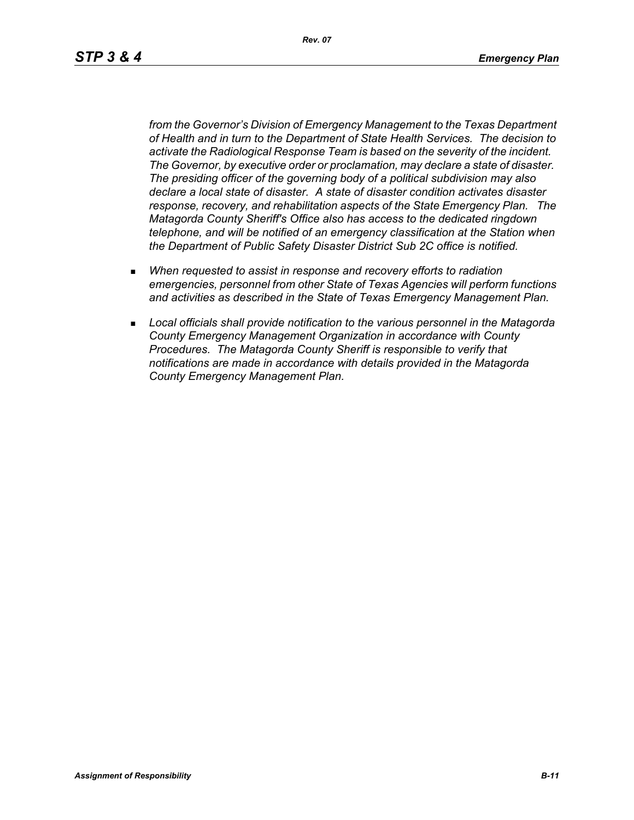*Rev. 07*

*from the Governor's Division of Emergency Management to the Texas Department of Health and in turn to the Department of State Health Services. The decision to activate the Radiological Response Team is based on the severity of the incident. The Governor, by executive order or proclamation, may declare a state of disaster. The presiding officer of the governing body of a political subdivision may also declare a local state of disaster. A state of disaster condition activates disaster response, recovery, and rehabilitation aspects of the State Emergency Plan. The Matagorda County Sheriff's Office also has access to the dedicated ringdown telephone, and will be notified of an emergency classification at the Station when the Department of Public Safety Disaster District Sub 2C office is notified.*

- *When requested to assist in response and recovery efforts to radiation emergencies, personnel from other State of Texas Agencies will perform functions and activities as described in the State of Texas Emergency Management Plan.*
- *Local officials shall provide notification to the various personnel in the Matagorda County Emergency Management Organization in accordance with County Procedures. The Matagorda County Sheriff is responsible to verify that notifications are made in accordance with details provided in the Matagorda County Emergency Management Plan.*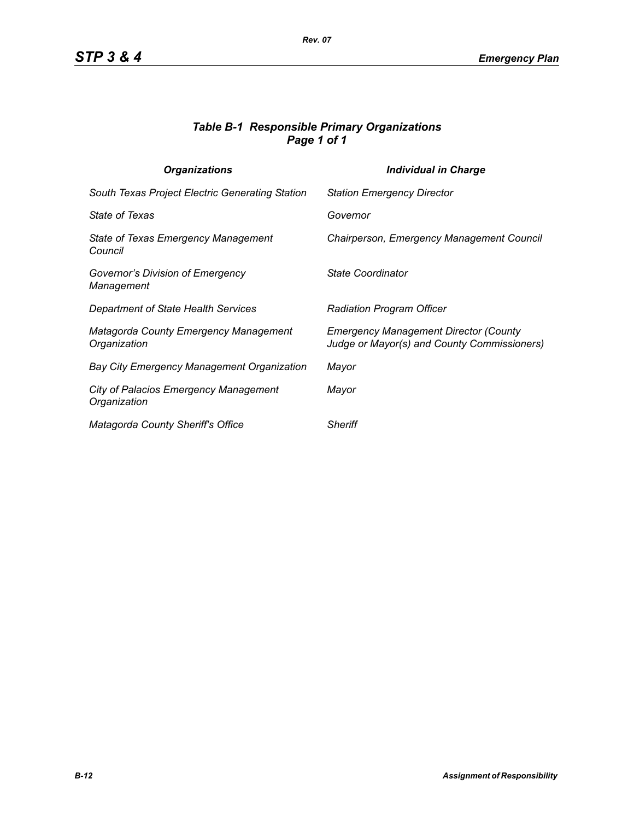### *Table B-1 Responsible Primary Organizations Page 1 of 1*

| <b>Organizations</b>                                         | <b>Individual in Charge</b>                                                                 |
|--------------------------------------------------------------|---------------------------------------------------------------------------------------------|
| South Texas Project Electric Generating Station              | <b>Station Emergency Director</b>                                                           |
| <b>State of Texas</b>                                        | Governor                                                                                    |
| State of Texas Emergency Management<br>Council               | Chairperson, Emergency Management Council                                                   |
| Governor's Division of Emergency<br>Management               | State Coordinator                                                                           |
| Department of State Health Services                          | <b>Radiation Program Officer</b>                                                            |
| <b>Matagorda County Emergency Management</b><br>Organization | <b>Emergency Management Director (County</b><br>Judge or Mayor(s) and County Commissioners) |
| <b>Bay City Emergency Management Organization</b>            | Mayor                                                                                       |
| <b>City of Palacios Emergency Management</b><br>Organization | Mayor                                                                                       |
| Matagorda County Sheriff's Office                            | <b>Sheriff</b>                                                                              |